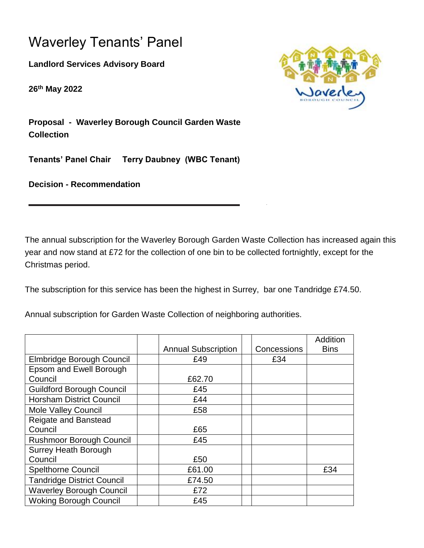## Waverley Tenants' Panel

**Landlord Services Advisory Board**

**26th May 2022**



**Proposal - Waverley Borough Council Garden Waste Collection**

**Tenants' Panel Chair Terry Daubney (WBC Tenant)** 

**Decision - Recommendation** 

The annual subscription for the Waverley Borough Garden Waste Collection has increased again this year and now stand at £72 for the collection of one bin to be collected fortnightly, except for the Christmas period.

The subscription for this service has been the highest in Surrey, bar one Tandridge £74.50.

Annual subscription for Garden Waste Collection of neighboring authorities.

|                                   |                            |             | <b>Addition</b> |
|-----------------------------------|----------------------------|-------------|-----------------|
|                                   | <b>Annual Subscription</b> | Concessions | <b>Bins</b>     |
| Elmbridge Borough Council         | £49                        | £34         |                 |
| Epsom and Ewell Borough           |                            |             |                 |
| Council                           | £62.70                     |             |                 |
| <b>Guildford Borough Council</b>  | £45                        |             |                 |
| <b>Horsham District Council</b>   | £44                        |             |                 |
| <b>Mole Valley Council</b>        | £58                        |             |                 |
| Reigate and Banstead              |                            |             |                 |
| Council                           | £65                        |             |                 |
| <b>Rushmoor Borough Council</b>   | £45                        |             |                 |
| <b>Surrey Heath Borough</b>       |                            |             |                 |
| Council                           | £50                        |             |                 |
| <b>Spelthorne Council</b>         | £61.00                     |             | £34             |
| <b>Tandridge District Council</b> | £74.50                     |             |                 |
| <b>Waverley Borough Council</b>   | £72                        |             |                 |
| <b>Woking Borough Council</b>     | £45                        |             |                 |